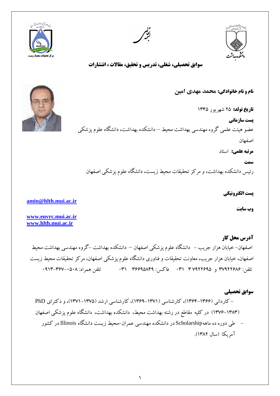

**سوابق تحصيلي**  – كارداني (۱۳۶۶–۱۳۶۴)، كارشناسي (۱۳۷۱–۱۳۶۹)، كارشناسي ارشد (۱۳۷۵–۱۳۷۱)، و دكتراي PhD (١٣٨٣–١٣٧۶) در كليه مقاطع در رشته بهداشت محيط، دانشكده بهداشت، دانشگاه علوم پزشكي اصفهان طي دوره ده ماههScholarship در دانشكده مهندسي عمران–محيط زيست دانشگاه Illinois در كشور آمر بكا (سال ١٣٨٢).

اصفْهان– خيابان هزار جريب – دانشگاه علوم پزشكي اصفْهان – دانشكده بهداشت –گروه مهندسي بهداشت محيط اصفْهان، خيابان هزار جريب، معاونت تحقيقات و فناوري دانشگاه علوم پزشكي اصفهان، مركز تحقيقات محيط زيست تلفي: 46855797 ٍ 6855782 4 141 فبكغ: 47782938 141 تلفي ّوشا:ُ 1814-476-1219

**[amin@hlth.mui.ac.ir](mailto:amin@hlth.mui.ac.ir)**

**[www.envrc.mui.ac.ir](http://www.envrc.mui.ac.ir/)**

**[www.hlth.mui.ac.ir](http://www.hlth.mui.ac.ir/)**

**مرتبه علمي:** استاد **سمت** رئيس دانشكده بهداشت، و مركز تحقيقات محيط زيست، دانشگاه علوم پزشكي اصفهان

**نام و نام خانوادگي: هحوذ هْذي اهيي**

**تاريخ تولد:** 52 ؿْشيَس 1432 **پست سازماني**

عضو هيئت علمي گروه مهندسي بهداشت محيط – دانشكده بهداشت، دانشگاه علوم پزشكي

اصفْبى



**سوابق تحصيلي، شغلي، تدريس و تحقيق، مقالات ، انتشارات** 





**وب سايت**

**پست الكترونيكي**

**آدرس محل كار**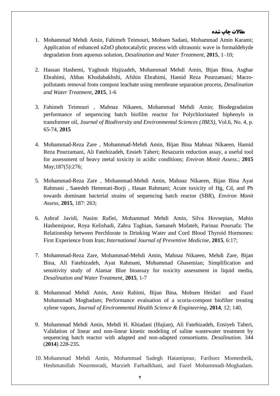### **مقاالت چاپ شده**

- 1. Mohammad Mehdi Amin, Fahimeh Teimouri, Mohsen Sadani, Mohammad Amin Karami; Application of enhanced nZnO photocatalytic process with ultrasonic wave in formaldehyde degradation from aqueous solution, *Desalination and Water Treatment*, **2015**, 1–10;
- 2. Hassan Hashemi, Yaghoub Hajizadeh, Mohammad Mehdi Amin, Bijan Bina, Asghar Ebrahimi, Abbas Khodabakhshi, Afshin Ebrahimi, Hamid Reza Pourzamani; Macropollutants removal from compost leachate using membrane separation process, *Desalination and Water Treatment*, **2015**, 1-6
- 3. Fahimeh Teimouri , Mahnaz Nikaeen, Mohammad Mehdi Amin; Biodegradation performance of sequencing batch biofilm reactor for Polychlorinated biphenyls in transformer oil, *Journal of Biodiversity and Environmental Sciences (JBES),* Vol.6, No. 4, p. 65-74, **2015**
- 4. Mohammad-Reza Zare , Mohammad-Mehdi Amin, Bijan Bina Mahnaz Nikaeen, Hamid Reza [Pourzamani, Ali Fatehizadeh, E](http://www.ncbi.nlm.nih.gov/pubmed/?term=Pourzamani%20H%5BAuthor%5D&cauthor=true&cauthor_uid=25893751)nsieh [Taheri;](http://www.ncbi.nlm.nih.gov/pubmed/?term=Taheri%20E%5BAuthor%5D&cauthor=true&cauthor_uid=25893751) Resazurin reduction assay, a useful tool for assessment of heavy metal toxicity in acidic conditions; *[Environ Monit Assess.](http://www.ncbi.nlm.nih.gov/pubmed/25893751)*; **2015** May;187(5):276;
- 5. Mohammad-Reza Zare , Mohammad-Mehdi Amin, Mahnaz Nikaeen, Bijan Bina Ayat Rahmani , Saeedeh Hemmati-Borji , Hasan Rahmani; Acute toxicity of Hg, Cd, and Pb towards dominant bacterial strains of sequencing batch reactor (SBR), *Environ Monit Assess*, **2015**, 187: 263;
- 6. Ashraf Javidi, Nasim Rafiei, Mohammad Mehdi Amin, Silva Hovsepian, Mahin Hashemipour, Roya Kelishadi, Zahra Taghian, Samaneh Mofateh, Parinaz Poursafa: The Relationship between Perchlorate in Drinking Water and Cord Blood Thyroid Hormones: First Experience from Iran; *International Journal of Preventive Medicine*, **2015**, 6:17;
- 7. Mohammad-Reza Zare, Mohammad-Mehdi Amin, Mahnaz Nikaeen, Mehdi Zare, Bijan Bina, Ali Fatehizadeh, Ayat Rahmani, Mohammad Ghasemian; Simplification and sensitivity study of Alamar Blue bioassay for toxicity assessment in liquid media, *Desalination and Water Treatment*, **2015**, 1-7
- 8. Mohammad Mehdi Amin, Amir Rahimi, Bijan Bina, Mohsen Heidari and Fazel Mohammadi Moghadam; Performance evaluation of a scoria-compost biofilter treating xylene vapors, *Journal of Environmental Health Science & Engineering*, **2014**, 12; 140,
- 9. Mohammad Mehdi Amin, [Mehdi H. Khiadani \(Hajian\),](http://www.sciencedirect.com/science/article/pii/S0011916414001775) Ali Fatehizadeh, Ensiyeh Taheri, Validation of linear and non-linear kinetic modeling of saline wastewater treatment by sequencing batch reactor with adapted and non-adapted consortiums. *Desalination.* 344 (**2014**) 228-235.
- 10. Mohammad Mehdi Amin, Mohammad Sadegh Hatamipour, Fariborz Momenbeik, Heshmatollah Nourmoradi, Marzieh Farhadkhani, and Fazel Mohammadi-Moghadam.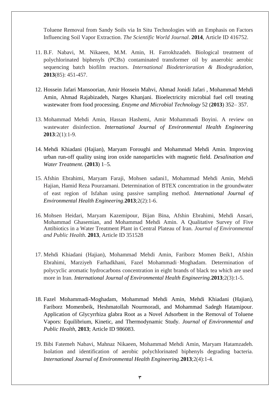Toluene Removal from Sandy Soils via In Situ Technologies with an Emphasis on Factors Influencing Soil Vapor Extraction. *The Scientific World Journal*. **2014**, Article ID 416752.

- 11. B.F. Nabavi, M. Nikaeen, M.M. Amin, H. Farrokhzadeh. Biological treatment of polychlorinated biphenyls (PCBs) contaminated transformer oil by anaerobic aerobic sequencing batch biofilm reactors. *International Biodeterioration & Biodegradation,* **2013**(85): 451-457.
- 12. Hossein Jafari Mansoorian, Amir Hossein Mahvi, Ahmad Jonidi Jafari , Mohammad Mehdi Amin, Ahmad Rajabizadeh, Narges Khanjani. Bioelectricity microbial fuel cell treating wastewater from food processing. *Enzyme and Microbial Technology* 52 (**2013**) 352– 357.
- 13. Mohammad Mehdi Amin, Hassan Hashemi, Amir Mohammadi Boyini. A review on wastewater disinfection. *International Journal of Environmental Health Engineering* **2013**:2(1):1-9.
- 14. Mehdi Khiadani (Hajian), Maryam Foroughi and Mohammad Mehdi Amin. Improving urban run-off quality using iron oxide nanoparticles with magnetic field. *Desalination and Water Treatment.* (**2013**) 1–5*.*
- 15. Afshin Ebrahimi, Maryam Faraji, Mohsen sadani1, Mohammad Mehdi Amin, Mehdi Hajian, Hamid Reza Pourzamani. Determination of BTEX concentration in the groundwater of east region of Isfahan using passive sampling method. *International Journal of Environmental Health Engineering*.**2013**;2(2):1-6.
- 16. Mohsen Heidari, Maryam Kazemipour, Bijan Bina, Afshin Ebrahimi, Mehdi Ansari, Mohammad Ghasemian, and Mohammad Mehdi Amin. A Qualitative Survey of Five Antibiotics in a Water Treatment Plant in Central Plateau of Iran. *Journal of Environmental and Public Health.* **2013**, Article ID 351528
- 17. Mehdi Khiadani (Hajian), Mohammad Mehdi Amin, Fariborz Momen Beik1, Afshin Ebrahimi, Marziyeh Farhadkhani, Fazel Mohammadi‑Moghadam. Determination of polycyclic aromatic hydrocarbons concentration in eight brands of black tea which are used more in Iran. *International Journal of Environmental Health Engineering*.**2013**;2(3):1-5.
- 18. Fazel Mohammadi-Moghadam, Mohammad Mehdi Amin, Mehdi Khiadani (Hajian), Fariborz Momenbeik, Heshmatollah Nourmoradi, and Mohammad Sadegh Hatamipour. Application of Glycyrrhiza glabra Root as a Novel Adsorbent in the Removal of Toluene Vapors: Equilibrium, Kinetic, and Thermodynamic Study. *Journal of Environmental and Public Health*, **2013**; Article ID 986083.
- 19. Bibi Fatemeh Nabavi, Mahnaz Nikaeen, Mohammad Mehdi Amin, Maryam Hatamzadeh. Isolation and identification of aerobic polychlorinated biphenyls degrading bacteria. *International Journal of Environmental Health Engineering*.**2013**;2(4):1-4.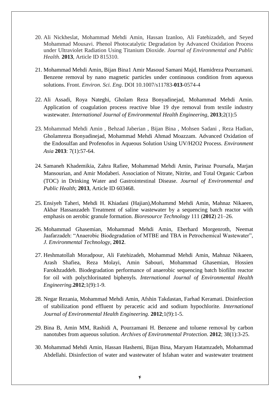- 20. Ali Nickheslat, Mohammad Mehdi Amin, Hassan Izanloo, Ali Fatehizadeh, and Seyed Mohammad Mousavi. Phenol Photocatalytic Degradation by Advanced Oxidation Process under Ultraviolet Radiation Using Titanium Dioxide. *Journal of Environmental and Public Health.* **2013**, Article ID 815310.
- 21. Mohammad Mehdi Amin, Bijan Bina1 Amir Masoud Samani Majd, Hamidreza Pourzamani. Benzene removal by nano magnetic particles under continuous condition from aqueous solutions. Front. *Environ. Sci. Eng*. DOI 10.1007/s11783-**013**-0574-4
- 22. Ali Assadi, Roya Nateghi, Gholam Reza Bonyadinejad, Mohammad Mehdi Amin. Application of coagulation process reactive blue 19 dye removal from textile industry wastewater. *International Journal of Environmental Health Engineering*, **2013**;2(1):5
- 23. Mohammad Mehdi Amin , Behzad Jaberian , Bijan Bina , Mohsen Sadani , Reza Hadian, Gholamreza Bonyadinejad, Mohammad Mehdi Ahmad Moazzam. Advanced Oxidation of the Endosulfan and Profenofos in Aqueous Solution Using UV/H2O2 Process. *Environment Asia* **2013**: 7(1):57-64.
- 24. Samaneh Khademikia, Zahra Rafiee, Mohammad Mehdi Amin, Parinaz Poursafa, Marjan Mansourian, and Amir Modaberi. Association of Nitrate, Nitrite, and Total Organic Carbon (TOC) in Drinking Water and Gastrointestinal Disease. *Journal of Environmental and Public Health*; **2013**, Article ID 603468.
- 25. Ensiyeh Taheri, Mehdi H. Khiadani (Hajian),Mohammd Mehdi Amin, Mahnaz Nikaeen, Akbar Hassanzadeh Treatment of saline wastewater by a sequencing batch reactor with emphasis on aerobic granule formation. *Bioresource Technology* 111 (**2012**) 21–26.
- 26. Mohammad Ghasemian, Mohammad Mehdi Amin, Eberhard Morgenroth, Neemat Jaafarzadeh: "Anaerobic Biodegradation of MTBE and TBA in Petrochemical Wastewater", *J. Environmental Technology*, **2012**.
- 27. Heshmatollah Moradpour, Ali Fatehizadeh, Mohammad Mehdi Amin, Mahnaz Nikaeen, Arash Shafiea, Reza Molayi, Amin Sabouri, Mohammad Ghasemian, Hossien Farokhzaddeh. Biodegradation performance of anaerobic sequencing batch biofilm reactor for oil with polychlorinated biphenyls. *International Journal of Environmental Health Engineering*.**2012**;1(9):1-9.
- 28. Negar Rezania, Mohammad Mehdi Amin, Afshin Takdastan, Farhad Keramati. Disinfection of stabilization pond effluent by peracetic acid and sodium hypochlorite. *International Journal of Environmental Health Engineering*. **2012**;1(9):1-5.
- 29. Bina B, Amin MM, Rashidi A, Pourzamani H. Benzene and toluene removal by carbon nanotubes from aqueous solution. *Archives of Environmental Protection*. **2012**; 38(1):3-25.
- 30. Mohammad Mehdi Amin, Hassan Hashemi, Bijan Bina, Maryam Hatamzadeh, Mohammad Abdellahi. Disinfection of water and wastewater of Isfahan water and wastewater treatment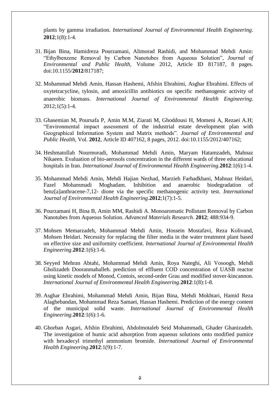plants by gamma irradiation. *International Journal of Environmental Health Engineering*. **2012**;1(8):1-4.

- 31. Bijan Bina, Hamidreza Pourzamani, Alimorad Rashidi, and Mohammad Mehdi Amin: "Ethylbenzene Removal by Carbon Nanotubes from Aqueous Solution", *Journal of Environmental and Public Health,* Volume 2012, Article ID 817187, 8 pages. doi:10.1155/**2012**/817187;
- 32. Mohammad Mehdi Amin, Hassan Hashemi, Afshin Ebrahimi, Asghar Ebrahimi. Effects of oxytetracycline, tylosin, and amoxicillin antibiotics on specific methanogenic activity of anaerobic biomass. *International Journal of Environmental Health Engineering*.  $2012;1(5):1-4.$
- 33. Ghasemian M, Poursafa P, Amin M.M, Ziarati M, Ghoddousi H, Momeni A, Rezaei A.H; "Environmental impact assessment of the industrial estate development plan with Geographical Information System and Matrix methods". *Journal of Environmental and Public Health*, Vol. **2012**, Article ID 407162, 8 pages, 2012. doi:10.1155/2012/407162;
- 34. Heshmatollah Nourmoradi, Mohammad Mehdi Amin, Maryam Hatamzadeh, Mahnaz Nikaeen. Evaluation of bio-aerosols concentration in the different wards of three educational hospitals in Iran. *International Journal of Environmental Health Engineering*.**2012**:1(6):1-4.
- 35. Mohammad Mehdi Amin, Mehdi Hajian Nezhad, Marzieh Farhadkhani, Mahnaz Heidari, Fazel Mohammadi Moghadam. Inhibition and anaerobic biodegradation of benz[a]anthracene-7,12- dione via the specific methanogenic activity test. *International Journal of Environmental Health Engineering*.**2012**;1(7):1-5.
- 36. Pourzamani H, Bina B, Amin MM, Rashidi A. Monoaromatic Pollutant Removal by Carbon Nanotubes from Aqueous Solution. *Advanced Materials Research*. **2012**; 488:934-9.
- 37. Mohsen Memarzadeh, Mohammad Mehdi Amin, Hossein Mostafavi, Reza Kolivand, Mohsen Heidari. Necessity for replacing the filter media in the water treatment plant based on effective size and uniformity coefficient. *International Journal of Environmental Health Engineering*.**2012**:1(6):1-6.
- 38. Seyyed Mehran Abtahi, Mohammad Mehdi Amin, Roya Nateghi, Ali Vosoogh, Mehdi Gholizadeh Dooranmahalleh. prediction of effluent COD concentration of UASB reactor using kinetic models of Monod, Contois, second-order Grau and modified stover-kincannon. *International Journal of Environmental Health Engineering*.**2012**:1(8):1-8.
- 39. Asghar Ebrahimi, Mohammad Mehdi Amin, Bijan Bina, Mehdi Mokhtari, Hamid Reza Alaghebandan, Mohammad Reza Samaei, Hassan Hashemi. Prediction of the energy content of the municipal solid waste. *International Journal of Environmental Health Engineering*.**2012**:1(6):1-6.
- 40. Ghorban Asgari, Afshin Ebrahimi, Abdolmotaleb Seid Mohammadi, Ghader Ghanizadeh. The investigation of humic acid adsorption from aqueous solutions onto modified pumice with hexadecyl trimethyl ammonium bromide. *International Journal of Environmental Health Engineering*.**2012**:1(9):1-7.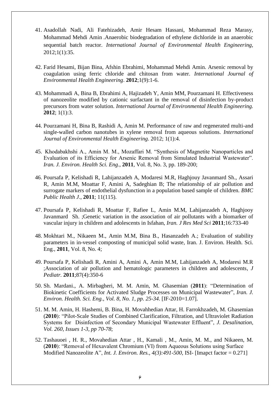- 41. Asadollah Nadi, Ali Fatehizadeh, Amir Hesam Hassani, Mohammad Reza Marasy, Mohammad Mehdi Amin .Anaerobic biodegradation of ethylene dichloride in an anaerobic sequential batch reactor. *International Journal of Environmental Health Engineering,*  2012;1(1):35.
- 42. Farid Hesami, Bijan Bina, Afshin Ebrahimi, Mohammad Mehdi Amin. Arsenic removal by coagulation using ferric chloride and chitosan from water. *International Journal of Environmental Health Engineering*. **2012**;1(9):1-6.
- 43. Mohammadi A, Bina B, Ebrahimi A, Hajizadeh Y, Amin MM, Pourzamani H. Effectiveness of nanozeolite modified by cationic surfactant in the removal of disinfection by-product precursors from water solution. *International Journal of Environmental Health Engineering.* **2012**; 1(1):3.
- 44. Pourzamani H, Bina B, Rashidi A, Amin M. Performance of raw and regenerated multi-and single-walled carbon nanotubes in xylene removal from aqueous solutions. *International Journal of Environmental Health Engineering*. 2012; 1(1):4.
- 45. Khodabakhshi A., Amin M. M., Mozaffari M. "Synthesis of Magnetite Nanoparticles and Evaluation of its Efficiency for Arsenic Removal from Simulated Industrial Wastewater". *Iran. J. Environ. Health Sci. Eng*., **2011**, Vol. 8, No. 3, pp. 189-200;
- 46. Poursafa P, Kelishadi R, Lahijanzadeh A, Modaresi M.R, Haghjouy Javanmard Sh., Assari R, Amin M.M, Moattar F, Amini A, Sadeghian B; The relationship of air pollution and surrogate markers of endothelial dysfunction in a population based sample of children. *BMC Public Health J*., **2011**; 11(115).
- 47. Poursafa P, Kelishadi R, Moattar F, Rafiee L, Amin M.M, Lahijanzadeh A, Haghjooy Javanmard Sh. ;Genetic variation in the association of air pollutants with a biomarker of vascular injury in children and adolescents in Isfahan, *Iran. J Res Med Sci* **2011**;16:733-40
- 48. Mokhtari M., Nikaeen M., Amin M.M, Bina B., Hasanzadeh A.; Evaluation of stability parameters in in-vessel composting of municipal solid waste, Iran. J. Environ. Health. Sci. Eng., **2011**, Vol. 8, No. 4;
- 49. Poursafa P, Kelishadi R, Amini A, Amini A, Amin M.M, Lahijanzadeh A, Modaresi M.R ;Association of air pollution and hematologic parameters in children and adolescents, *J Pediatr.* **2011**;87(4):350-6
- 50. Sh. Mardani., A. Mirbagheri, M. M. Amin, M. Ghasemian (**2011**): "Determination of Biokinetic Coefficients for Activated Sludge Processes on Municipal Wastewater", *Iran. J. Environ. Health. Sci. Eng., Vol. 8, No. 1, pp. 25-34*. [IF-2010=1.07].
- 51. M. M. Amin, H. Hashemi, B. Bina, H. Movahhedian Attar, H. Farrokhzadeh, M. Ghasemian (**2010**): "Pilot-Scale Studies of Combined Clarification, Filtration, and Ultraviolet Radiation Systems for Disinfection of Secondary Municipal Wastewater Effluent", *J. Desalination, Vol. 260, Issues 1-3, pp 70-78*;
- 52. Tashauoei , H. R., Movahedian Attar , H., Kamali , M., Amin, M. M., and Nikaeen, M. (**2010**): "Removal of Hexavalent Chromium (VI) from Aqueous Solutions using Surface Modified Nanozeolite A", *Int. J. Environ. Res., 4(3):491-500,* ISI- [Imapct factor = 0.271]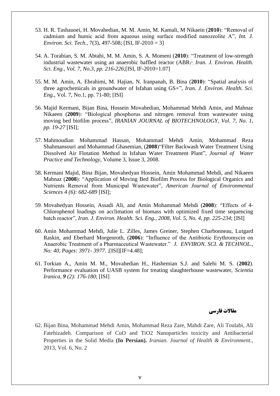- 53. H. R. Tashauoei, H. Movahedian, M. M. Amin, M. Kamali, M Nikaein (**2010**): "Removal of cadmium and humic acid from aqueous using surface modified nanozeolite A", *Int. J. Environ. Sci. Tech.,* 7(3), 497-508; [ISI, IF-2010 = 3]
- 54. A. Torabian, S. M. Abtahi, M. M. Amin, S. A. Momeni (**2010**): "Treatment of low-strength industrial wastewater using an anaerobic baffled reactor (ABR)", *Iran. J. Environ. Health. Sci. Eng., Vol. 7, No.3, pp. 216-226*;[ISI, IF-2010=1.07]
- 55. M. M. Amin, A. Ebrahimi, M. Hajian, N. Iranpanah, B. Bina (**2010**): "Spatial analysis of three agrochemicals in groundwater of Isfahan using GS+", *Iran. J. Environ. Health. Sci. Eng.,* Vol. 7, No.1, pp. 71-80; [ISI]
- 56. Majid Kermani, Bijan Bina, Hossein Movahedian, Mohammad Mehdi Amin, and Mahnaz Nikaeen (**2009**): "Biological phosphorus and nitrogen removal from wastewater using moving bed biofilm process", *IRANIAN JOURNAL of BIOTECHNOLOGY, Vol. 7, No. 1, pp. 19-27* [ISI];
- 57. Mahmoudian Mohammad Hassan, Mohammad Mehdi Amin, Mohammad Reza Shahmansouri and Mohammad Ghasemian, (**2008**)"Filter Backwash Water Treatment Using Dissolved Air Flotation Method in Isfahan Water Treatment Plant", *Journal of Water Practice and Technology*, Volume 3, Issue 3, 2008.
- 58. Kermani Majid, Bina Bijan, Movahedyan Hossein, Amin Mohammad Mehdi, and Nikaeen Mahnaz (**2008**): "Application of Moving Bed Biofilm Process for Biological Organics and Nutrients Removal from Municipal Wastewater", *American Journal of Environmental Sciences 4 (6): 682-689* [ISI];
- 59. Movahedyan Hossein, Assadi Ali, and Amin Mohammad Mehdi (**2008**): "Effects of 4- Chlorophenol loadings on acclimation of biomass with optimized fixed time sequencing batch reactor", *Iran. J. Environ. Health. Sci. Eng., 2008, Vol. 5, No. 4, pp. 225-234*; [ISI]
- 60. Amin Mohammad Mehdi, Julie L. Zilles, James Greiner, Stephen Charbonneau, Lutgard Raskin, and Eberhard Morgenroth, (**2006**): "Influence of the Antibiotic Erythromycin on Anaerobic Treatment of a Pharmaceutical Wastewater." *J. ENVIRON. SCI. & TECHNOL., No: 40, Pages: 3971- 3977.* ;[ISI][IF=4.48];
- 61. Torkian A., Amin M. M., Movahedian H., Hashemian S.J. and Salehi M. S. (**2002**). Performance evaluation of UASB system for treating slaughterhouse wastewater, *Scientia Iranica*, *9 (2): 176-180*; [ISI]

## **مقاالت فارسي**

62. Bijan Bina, Mohammad Mehdi Amin, Mohammad Reza Zare, Mahdi Zare, Ali Toulabi, Ali Fatehizadeh. Comparison of CuO and TiO2 Nanoparticles toxicity and Antibacterial Properties in the Solid Media **(In Persian).** *Iranian. Journal of Health & Environment.,* 2013, Vol. 6, No. 2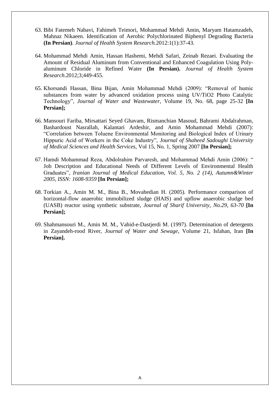- 63. Bibi Fatemeh Nabavi, Fahimeh Teimori, Mohammad Mehdi Amin, Maryam Hatamzadeh, Mahnaz Nikaeen. Identification of Aerobic Polychlorinated Biphenyl Degrading Bacteria **(In Persian)**. *Journal of Health System Research.*2012:1(1):37-43.
- 64. Mohammad Mehdi Amin, Hassan Hashemi, Mehdi Safari, Zeinab Rezaei. Evaluating the Amount of Residual Aluminum from Conventional and Enhanced Coagulation Using Polyaluminum Chloride in Refined Water **(In Persian).** *Journal of Health System Research*.2012;3;449-455.
- 65. Khorsandi Hassan, Bina Bijan, Amin Mohammad Mehdi (2009): "Removal of humic substances from water by advanced oxidation process using UV/TiO2 Photo Catalytic Technology", *Journal of Water and Wastewater*, Volume 19, No. 68, page 25-32 **[In Persian];**
- 66. Mansouri Fariba, Mirsattari Seyed Ghavam, Rismanchian Masoud, Bahrami Abdalrahman, Bashardoust Nasrallah, Kalantari Ardeshir, and Amin Mohammad Mehdi (2007): "Correlation between Toluene Environmental Monitoring and Biological Index of Urinary Hippuric Acid of Workers in the Coke Industry", *Journal of Shaheed Sadoughi University of Medical Sciences and Health Services*, Vol 15, No. 1, Spring 2007 **[In Persian];**
- 67. Hamdi Mohammad Reza, Abdolrahim Parvaresh, and Mohammad Mehdi Amin (2006): " Job Description and Educational Needs of Different Levels of Environmental Health Graduates", *Iranian Journal of Medical Education, Vol. 5, No. 2 (14), Autumn&Winter 2005, ISSN: 1608-9359* **[In Persian];**
- 68. Torkian A., Amin M. M., Bina B., Movahedian H. (2005). Performance comparison of horizontal-flow anaerobic immobilized sludge (HAIS) and upflow anaerobic sludge bed (UASB) reactor using synthetic substrate, *Journal of Sharif University*, *No.29, 63-70* **[In Persian];**
- 69. Shahmansouri M., Amin M. M., Vahid-e-Dastjerdi M. (1997). Determination of detergents in Zayandeh-rood River, *Journal of Water and Sewage*, Volume 21, Isfahan, Iran **[In Persian].**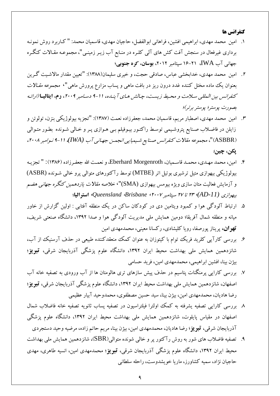#### **كنفرانس ها**

- ١. امين محمد مهدي، ابراهيمي افشين، فراهاني ابوالفضل، حاجيان مهدي، قاسميان محمد: " كـاربر د روش نمونـه برداري غيرفعال در سنجش آفت كش هاي آلي كلـره در منـابع آب زيـر زمينـي"، مجموعـه مقـالات كنگـره جهاني آب IWA، ٢١-١۶ سيتامبر ٢٠١٢، **بوسان، كره جنوبي**؛
- ۲. امين محمد مهدي، خدابخشي عباس، صادقي حجت، و خيري سليمان(١٣٨٨): "تعيين مقدار مالاشـيت گـرين بعنوان يک ماده مختل کننده غدد درون ريز در بافت ماهي و پساب مزارع پرورش ماهي"، م*جموعه مقـالات* كنفرانس بين المللي سلامت و محيط زيست، چالش هاي آينده، 11-۹ دسامبر ۲۰۰۹، **رم، ايتاليا** (ارائه بِصورت پوستر؛ پوستر برتر)؛
- ۳. امين محمد مهدي، اصطبار مريم، قاسميان محمد، جعفرزاده نعمت (١٣٨٧): "تجزيه بيولوژيكي بنزن، تولوئن و زايلن در فاضلاب صـنايع پتروشـيمي توسـط راكتـور بيـوفيلم بـي هـوازي پـر و خـالي شـونده بطـور متـوالي (ASBBR)"، مجم*وعه مقالات كنفرانس صنايع شيميايي انجمن جهاني آب (IWA)، 11-1 نيوامبر ٢٠٠٨،* **پىي، چيي**؛
- ۴. امين، محمد مهـدي، محمـد قاسـميان، Eberhard Morgenroth، و نعمـت الله جعفـر زاده (۱۳۸۶): " تجزيـه بيولوژيكي بيهوازي متيل ترشيري بوتيل اتر (MTBE) توسط رآكتورهاي متوالي پرو خالي شـونده (ASBR) و آزمايش فعاليت متان سازي ويژه بيومس بيهوازي (SMA)"، *خلاصه مقالات يازدهمين كنگره جهاني هضم* ثيَْاصي *(-11AD(*، <sup>54</sup> تب 56 ػپتبهجش ،<sup>5116</sup> *Brisbane*، *Queensland*، **استشاليا**؛
- ۵. ارتباط آلودگي هوا و كمبود ويتامين دي در كودكان ساكن در يك منطقه آفتابي : اولين گزارش از خاور ميانه و منطقه شمال آفريقا؛ دومين همايش ملي مديريت آلودگي هوا و صدا ١٣٩٢، دانشگاه صنعتي شريف، <mark>تهو ان،</mark> پريناز پورصفا، رويا كليشادي، ركسانا معيني، محمدمهدي امين
- ۶. بررسي كارآيي كلريد فريک توام با كيتوزان به عنوان كمک منعقدکننده طبيعي در حذف آرسنيک از آب، شانزدهمين همايش ملي بهداشت محيط ايران ١٣٩٢، دانشگاه علوم پزشگي آذربايجان شرقي، **تبويز؛** بيژن بينا، افشين ابراهيمي، محمدمهدي امين، فريد حسامي
- ۷. بررسي كارايي پرمنگنات پتاسيم در حذف پيش سازهاي ترى هالومتان ها از آب ورودي به تصفيه خانه آب اصفهان، شانز دهمين همايش ملي بهداشت محيط ايران ١٣٩٢، دانشگاه علوم پزشگي آذربايجان شرقي، **تبو يز**؛ رضا هاديان، محمدمهدي امين، بيژن بينا، سيد حسين مصطفوى، محمدوحيد آبيار عظيمي
- ٨ بررسي كارايي تصفيِه يشرفته به كمك اولترا فيلتراسيون در تصفيه پساب ثانويه تصفيه خانه فاضلاب شمال اصفْهان در مقياس پايلوت، شانزدهمين همايش ملي بهداشت محيط ايران ١٣٩٢، دانشگاه علوم پزشگي آذربايجان شرقي، **تبو يز**؛ رضا هاديان، محمدمهدي امين، بيژن بينا، مريم حاتم زاده، مرضيه وحيد دستجردي
- ۹. تصفيه فاضلاب هاي شور به روش رآكتور پر و خالي شونده متوالي(SBR)، شانزدهمين همايش ملي بهداشت محيط ايران ۱۳۹۲، دانشگاه علوم پزشگي آذربايجان شرقي، **تبويز**؛ محمدمهدی امين، انسيه طاهری، مهدی حاجيان نژاد، سميه كشاورز، ماريا خويشدوست، راحله سلطاني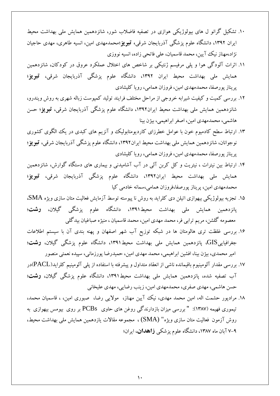- ۱۰. تشکیل گرانو ل های بیولوژیکی هوازی در تصفیه فاضلاب شور، شانزدهمین همایش ملی بهداشت محیط ايران ١٣٩٢، دانشگاه علوم پزشگي آذربايجان شرقي، **تبويز**؛محمدمهدي امين، انسيه طاهري، مهدي حاجيان نژاد،مهناز نيک آيين، محمد قاسميان، علي فاتحي زاده، انسيه نووزي
- ١١. اثرات آلودگي هوا و پلي مرفيسم ژنتيكي بر شاخص هاي اختلال عملكرد عروق در كودكان، شانزدهمين همايش مل<sub>ى</sub> بهداشت محيط ايران ١٣٩٢، دانشگاه علوم پزشگي آذربايجان شرقي، **تبويز؛** پريناز پورصفا، محمدمهدي امين، فروزان همامي، رويا كليشادي
- ١٢. بررسي كميت و كيفيت شيرابِه خروجي از مراحل مختلف فرايند توليد كمپوست زباله شهري به روش ويندرو، شانزدهمين همايش مل<sub>ّ</sub>ى بهداشت محيط ايران١٣٩٢، دانشگاه علوم پزشگي آذربايجان شرقي، **تبويز**؛ حسن هاشمي، محمدمهدي امين، اصغر ابراهيمي، بيژن بينا
- ١٣. ارتباط سطح کادميوم خون با عوامل خطرزای کارديومتابوليک و آنزيم های کبدی در يک الگوی کشوری نوجوانان، شانزدهمین همایش مل<sub>ّی</sub> بهداشت محیط ایران۱۳۹۲، دانشگاه علوم پزشگی آذربایجان شرقی، **تبریز؛** پريناز پورصفا، محمدمهدي امين، فروزان همامي، رويا كليشادي
- ۱۴. ارتباط بين نيترات ، نيتريت و كل كربن آلي در آب آشاميدني و بيماري هاي دستگاه گوارش، شانزدهمين همايش مل<sub>ّ</sub>ى بهداشت محيط ايران١٣٩٢، دانشگاه علوم پزشگى آذربايجان شرقى، **تبويز؛** محمدمهدي امين، پريناز پورصفا،فروزان همامي،سمانه خادمي كيا
- ۱۵. تجزيه بيولوژيكي بيهوازي اتيلن دي كلرايد به روش نا پيوسته توسط آزمايش فعاليت متان سازي ويژه SMA، پانزدهمين همايش مل<sub>ي</sub> بهداشت محيط١٣٩١، دانشگاه علوم پزشگي گيلان، **رشت؛** معصومه گلشن، مريم ترابي فر، محمد مهدي امين، محمد قاسميان ، منيژه صباغيان بيدگلي
- ۱۶. بررسی غلظت تری هالومتان ها در شبکه توزیع آب شهر اصفهان و پهنه بندی آن با سیستم اطلاعات جغرافياييGIS، پانزدهمين همايش مل<sub>ّ</sub>ی بهداشت محيط١٣٩١، دانشگاه علوم پزشگ<sub>ی</sub> گيلان، **رشت**؛ امير محمدي، بيژن بينا، افشين ابراهيمي، محمد مهدي امين، حميدرضا پورزماني، سپيده نعمتي منصور
- ۱۷. بررسي مقدار آلومينيوم باقيمانده ناشي از انعقاد متداول و پيشرفته با استفاده از پلي آلومينيم كلرايد(PACL)در آب تصفيه شده، يانزدهمين همايش مل<sub>ّ</sub>ى بهداشت محيط۱۳۹۱، دانشگاه علوم پزشگي گيلان، **رشت؛** حسن هاشمي، مهدي صفري، محمدمهدي امين، زينب رضايي، مهدي عليخاني
- ١٨. مرادپور حشمت اله، امين محمد مهدي، نيک آيين مهناز، ۖ مولايي رضا، ۖ صبوري امين، ، قاسميان محمد، تيموري فهيمه (١٣٨٧): " بررسي ميزان بازدارندگي روغن هاي حاوي PCBs بر روي بيومس بيهوازي به روش آزمون فعاليت متان سازي ويژه" (SMA) ، مجموعه مقالات يازدهمين همايش ملي بهداشت محيط، 6-8 آثبى هبُ ،1496 داًـگبُ ػلَم پضؿكي **صاّذاى**، ايشاى؛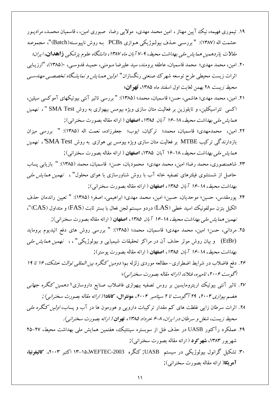- ۱۹. تيموري فهيمه، نيک آيين مهناز ، امين محمد مهدي، مولايي رضا، صبوري امين، ، قاسميان محمـد، مرادپـور حشمت اله (١٣٨٧): " بررسـي حـذف بيولـوژيكي هـوازي PCBs بـه روش ناپيوسـته(Batch)"، مجم*وعـه* هقالات يازدهمين همايش ملي به*نداشت محيط، 4-٢ آبان ماه ١٣٨٧، دانشگاه علوم پزشكي* **ذاهدان**، *ايران؛*
- ٢٠. امين، محمد مهدي؛ محمد قاسميان، عاطفه برومند، سيد عليرضا مـومني، حميـد قدوسـي، ١٣٨٥)، "ارزيـابي اثرات زيست محيطي طرح توسعه شهرک صنعتي رنگسازان" *اولين همـايش و نمايشگاه تخصصـي مهندسـي* مح*يط زيست* ٢٨ بهمن لغايت اول اسفند ماه ١٣٨۵، **تهران**؛
- ٢١. امين، محمد مهدي؛ هاشمي، حسن؛ قاسميان، محمد؛ (١٣٨۵): " بررسي تاثير آنتي بيوتيكهاي آموكسي سيلين، اكسي تتراسيكلين، و تايلوزين بر فعاليت متان سازي ويژه بيومس بيهوازي به روش SMA Test "، نهمين هم*ايش ملي بهداشت محيط، 18-19 آبان ١٣٨۵*، اصفهان ( ارائه مقاله بصورت سخنراني);
- ٢٢. امين، محمدمهدى؛ قاسميان، محمد؛ تركيان، ايوب؛ جعفرزاده، نعمت اله (١٣٨۵): " بررسي ميزان بازدارندگي تركيب MTBE بر فعاليت متان سازي ويژه بيومس بي هوازي به روش SMA Test'، نهمين هم*ايش ملي بهداشت محيط*، 18-16 آبان ١٣٨۵، **اصفهان** ( ارائه مقاله بصورت سخنراني);
- ٢٣. شاهمنصوري، محمد رضا؛ امين، محمد مهدي؛ محموديان، حسن؛ قاسميان، محمد (١٣٨٥): " بازيابي پساب حاصل از شستشوى فيلترهاى تصفيه خانه آب با روش شناورسازى با هواى محلول" ، *نهمين همايش ملي* ب*هداشت محيط، 11-18 آبان 1۳۸۵، اصفهان ( ارائه مقاله بصورت سخنراني);*
- ٢۴. پورمقدس، حسين؛ موحديان، حسين؛ امين، محمد مهدي؛ ابراهيمي، اصغر؛ (١٣٨۵): " تعيين راندمان حذف الكيل بنزن سولفونيك اسيد خطى (LAS) دردو سيستم لجن فعال با بستر ثابت (FAS) و متداول (CAS)"، *ُنهمين هما يش ملي بهداشت محيط، 14-19 آبان ١٣٨۵*، اصفهان ( ارائه مقاله بصورت سخنراني);
- ٢۵. مرداني، حسن؛ امين، محمد مهدي؛ قاسميان، محمد؛ (١٣٨۵): " بررسي روش هاي دفع اتيديوم برومايد (EtBr) و بيان روش موثر حذف آن در مراكز تحقيقات شيميايي و بيولوژيكي" ، ، نهمين *همايش ملي* ب*هداشت محيط، 14-18 آبان ۱۳۸۵*، **اصفهان** ( ارائه مقاله بصورت پوستر);
- .57 دفع فاضلاب در شرايط اضطراری- مطالعه موردی زلزله بم؛ *دومين کنگره بين المللي توالت خشک، ۱۶ تا ۱۹* اگوست ۲۰۰۶، تامپره، فنلاند (ارائه مقاله بصورت سخنرانبي)؛
- ٢٧. تاثير آنتي بيوتيک اريترومايسين بر روس تصفيه بيھوازي فاضلاب صنايع داروسازي؛ دھمي*ن كنگره جهاني* هضم بيوازي ۲۰۰۴، ٢٩ آگوست تا ٢ سپتامبر ٢٠٠۴، هونتوال، كانادا (ارائه مقاله بصورت سخنراني) ;
- .14 اثرات سرطان زايي غلظت هاي كم مقدار تركيبات دارويي و هورمون ها در آب و پساب، *اولين كنگره ملي* هحيط زيست، شغل و سر طان در ايران، <sub>1</sub>-۶ خرداد ۱۳۸۵، ق**هران** ( ارائه بصورت سخنراني).
- .54 عملكرد رآكتور UASB در حذف فنل از سوبستره سينتتيك، هفتمين همايش ملي بهداشت محيط، ٢٧-٢۵ شهريور ١٣٨٣، **شهركود** ( ارائه مقاله بصورت سخنراني);
- .41 تـكيل گشاًَل ثيَلَطيكي دس ػيؼتن UASB ;كٌگشُ -2003WEFTEC14-12، اكتجش .،5114 **واليفشًيا، آهويكا**( ارائه مقاله بصورت سخنراني);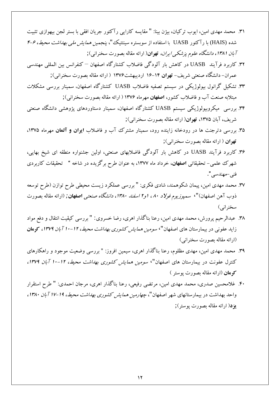- ٣١. محمد مهدي امين، ايوب تركيان، بيِژن بينا: " مقايسه كارايي رآكتور جريان افقي با بستر لجن بيهوازي تثبيت شده (HAIS) با رآكتور UASB با استفاده از سوبستره سينتتيك "، پنجمي*ن همايش ملي بهداشت محيط، ۶-۴* آبا*ن ۱۳۸۱، دانشگاه علوم پزشكي ايران،* تهوان( ارائه مقاله بصورت سخنراني);
- ۳۲. كاربرد فرآيند UASB در كاهش بار آلودگي فاضلاب كشتارگاه اصفهان <sup>—</sup> كنفرانس بين المللي مهندسي عمران- دانشگاه صنعتي شريف- **تهران ۱۴**-۱۶ ارديبهشت۱۳۷۶ ( ارائه مقاله بصورت سخنراني);
- ٣٣. تشكيل گرانول بيولوژيكي در سيستم تصفيه فاضلاب UASB كشتارگاه اصفهان، سمينار بررسي مشكلات مبتلابِه صنعت آب و فاضلاب كشور، **اصفهان** مهرِماه ۱۳۷۶ ( ارائه مقاله بصورت سخنراني);
- ۳۴. بررسي ميكروبيولوژيكي سيستم UASB كشتارگاه اصفهان، سمينار دستاوردهاي پژوهشي دانشگاه صنعتي شريف، آبان ۱۳۷۵، **تهران**( ارائه مقاله بصورت سخنراني);
- ۳۵. بررسی دترجنت ها در رودخانه زاینده رود، سمینار مشترک آب و فاضلاب **ایوان و آلعان** مهرماه ۱۳۷۵، تهوان ( ارائه مقاله بصورت سخنراني);
- ۳۶. كاربرد فرآيند UASB در كاهش بار آلودگي فاضلابهاي صنعتي، اولين جشنواره منطقه اي شيخ بهايي، شهرک علمی- تحقیقاتی **اصفهان**، خرداد ماه ۱۳۷۷، به عنوان طرح برگزیده در شاخه " تحقیقات کاربردی فني –مهندسي ".
- ٣٧. محمد مهدي امين، پيمان شكوهمند، شادي فكري: " بررسي عملكرد زيست محيطي طرح توازن (طرح توسعه ذوب آهن اصفهان)"، سمپ*وزیوم فولاد ۸۰، او۲ اسفند ۱۳۸۰، دانشگاه صنعتی اصفهان; (ارائه مقاله بصو*رت سخنراني)
- ٣٨. عبدالرحيم يرورش، محمد مهدي امين، رعنا بناگذار اهري، رضا خسروي: " بررسي كيقيت انتقال و دفع مواد زايد عفوني در بيمارستان هاى اصفهان"، *سومين همايش كشورى بهداشت محيط، ١٢-١٠ آبان ١٣٧٩،* كوه**ان** (ارائه مقاله بصورت سخنراني)
- ٣٩. محمد مهدى امين، مهدى مظلوم، رعنا بناگذار اهرى، سيمين افروز: " بررسي وضعيت موجود و راهكارهاى كنترل عفونت در بيمارستان هاى اصفهان"، *سومين همايش كشورى بهداشت محيط، ١٢-١٠ آبان ١٣٧٩،* كوه**ان** (ارائه مقاله بصورت پوستر )
- ۴۰. غلامحسين صدري، محمد مهدي امين، مرتضي رفيعي، رعنا بناگذار اهري، مرجان احمدي: " طرح استقرار واحد بهداشت در بيمارستانهاى شهر اصفهان"، *چهارمين همايش كشورى بهداشت محيط، 14-11 آبان ۱۳۸۰،* **یزد**( ارائه مقاله بصورت پوستر);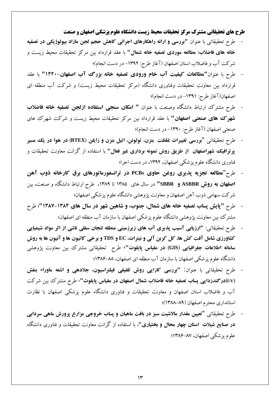**طرح هاي تحقيقاتي مشترك مركس تحقيقات محيط زيست دانشگاه علوم پسشكي اصفهان و صنعت**

- طرح تحقيقاتي با عنوان "بررسي و ارائه راهكارهاي اجرائي كاهش حجم لجن مازاد بيولوژيكي در تصفيه **خانه هاى فاضلاب: مطالعه موردى تصفيه خانه شمال'' با عقد قرارداد بين مركز تحقيقات محيط زيست و** شركت آب و فاضلاب استان اصفهان (آغاز طرح: ١٣٩٢- در دست انجام)؛
- طرح با عنوان "مطالعات كيفيت آب خام ورودي تصفيه خانه بزرگ آب اصفهان-1۴۲۰" با عقد قرارداد بين معاونت تحقيقات وفناوري دانشگاه (مركز تحقيقات محيط زيست) و شركت آب منطقه اي اصفهان(آغاز طرح: ١٣٩١- در دست انجام)؛
- طرح مشترک ارتباط دانشگاه وصنعت با عنوان **" امکان سنجي استفاده ازلجن تصفيه خانه فاضلاب** <mark>شهرک های صنعتی اصفهان"</mark> با عقد قرارداد بين مركز تحقيقات محيط زيست و شركت شهرك های صنعتي اصفهان (آغاز طرح: ١٣٩٠- در دست انجام)؛
- عشح تحقيقبتي "**تشسسي تغييشات غلظت تٌضى، تَلَئي، اتيل تٌضى ٍ صایلي )BTEX )دس َّا دس یه هسيش پرتوافيك شهراصفهان از طريق روش نمونه بردارى غير فعال" با استفاده از گرانت معاونت تحقيقات و** فناوري دانشگاه علوم پزشكي اصفهان، ۱۳۹۲، در دست اجرا؛
- عشح"**هطالؼِ تجضیِ پزیشي سٍغي حاٍي PCBs دس تشاًسفَسهاتَسّاي تشق واسخاًِ رٍب آّي**  ا**صفهان به روش ASBBR و SBBR''** در سال هاى ١٣٨۵ تا ١٣٨٩، طرح ارتباط دانشگاه و صنعت، بين شركت سهامي ذوب آهن اصفهان و معاونت پژوهشي دانشگاه علوم پزشكي اصفهان؛
- طرح "**'پایش پساب تصفیه خانه های شمال، جنوب، و شاهین شهر در سال های ۱۳۸۴-۱۳۸۷"؛ طرح** مشترک بين معاونت پژوهشي دانشگاه علوم پزشکي اصفهان با سازمان آب منطقه اي اصفهان؛
- طرح تحقيقاتي: "ارزيابي آسيب پذيري آب هاي زيرزميني منطقه لنجان سفلي ناشي از اثر مواد شيميايي كشاورزي شامل آفت كش ها، كل كربن آلي و نيترات، EC و TDS و برخي كاتيون ها و آنيون ها به روش <mark>سامانه اطلاعات جغرافيایي (GIS) **در مقياس پايلوت''**، طرح تحقيقاتي مشترک بين معاونت پژوهشي</mark> دانشگاه علوم پزشكي اصفهان با سازمان آب منطقه اي اصفهان، ٨٨–١٣٨۶؛
- طرح تحقيقاتي با عنوان: **"بررسي كارايي روش تلفيقي فيلتراسيون، جلادهي و اشعه ماوراء بنفش** (UV)در گندزدایی پساب تصفیه خانه فاضلاب شمال اصفهان در مقیاس پایلوت"، طرح مشترك بين شركت آب و فاضلاب استان اصفهان و معاونت تحقيقات و فناورى دانشگاه علوم پزشكي اصفهان با نظارت استانداري محترم اصفهان (٨٩-١٣٨٨)؛
- طرح تحقيقاتي "تعيين مقدار مالاشيت سبز در بافت ماهيان و پساب خروجي مزارع پرورش ماهي سردابي <mark>در صنایع شيلات استان چهار محال و بختياري"، با استفاده از گرانت معاونت تحقيقات و فناوري دانشگاه</mark> علوم پزشكي اصفهان، ۸۷–۱۳۸۶؛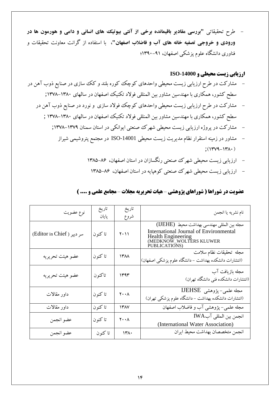طرح تحقيقاتي "بررسي مقادير باقيمانده برخي از آنتي بيوتيك هاي انساني و دامي و هورمون ها در **ورودي و خروجي تصفيه خانه هاي آب و فاضلاب اصفهان"، با استفاده از گرانت معاونت تحقيقات و** فناوري دانشگاه علوم پزشكي اصفهان، ۹۱–۱۳۹۰؛

## **ارزيابي زيست محيطي و -14000ISO**

- مشارکت در طرح ارزيابي زيست محيطي واحدهاي كوچک كوره بلند و کک سازی در صنايع ذوب آهن در سطح كشور، همكاري با مهندسين مشاور بين المنللي فولاد تكنيك اصفهان در سالهاي ١٣٨٠–١٣٧٨;
	- مشارکت در طرح ارزيابي زيست محيطي واحدهاي كوچک فولاد سازي و نورد در صنايع ذوب آهن در سطح كشور، همكاري با مهندسين مشاور بين المنللي فولاد تكنيك اصفهان در سالهاي ١٣٨٠–١٣٧٨ ;
		- مشاركت در پروژه ارزيابي زيست محيطي شهرك صنعتي ايوانكي در استان سمنان ١٣٧٩-١٣٧٨;
			- مشاور در زمينه استقرار نظام مديريت زيست محيطي ISO-14001 در مجتمع پتروشيمي شيراز  $:(144 - 144)$ 
				- ارزيابي زيست محيطي شهرك صنعتي رنگسازان در استان اصفهان، ۸۶–۱۳۸۵
				- ارزيابي زيست محيطي شهرك صنعتي كوهيايه در استان اصفهان، ۸۶–۱۳۸۵

# **عضويت در شوراها ) شوراهاي پژوهشي** – **هيات تحريريه مجالت** – **مجامع علمي و .... (**

| نوع عضويت                 | تاريخ<br>پايان | تاريخ<br>شروع                       | نام نشريه يا انجمن                                                                                                                                     |
|---------------------------|----------------|-------------------------------------|--------------------------------------------------------------------------------------------------------------------------------------------------------|
| سر دبیر (Editor in Chief) | تا كنون        | $Y \cdot 11$                        | مجله بين المللي مهندسي بهداشت محيط (IJEHE)<br>International Journal of Environmental<br>Health Engineering<br>(MEDKNOW_WOLTERS KLUWER<br>PUBLICATIONS) |
| عضو هيئت تحريريه          | تا كنون        | ۱۳۸۸                                | مجله تحقيقات نظام سلامت<br>(انتشارات دانشکده بهداشت – دانشگاه علوم پزشکی اصفهان)                                                                       |
| عضو هيئت تحريريه          | تاكنون         | ۱۳۹۳                                | مجله بازیافت آب<br>(انتشارات دانشکده فنی دانشگاه تهران)                                                                                                |
| داور مقالات               | تا كنون        | $\mathbf{Y} \cdot \cdot \mathbf{A}$ | مجله علمی-پژوهشی IJEHSE<br>(انتشارات دانشکده بهداشت – دانشگاه علوم پزشکی تهران)                                                                        |
| <mark>داور مقالات</mark>  | تا كنون        | ۱۳۸۷                                | مجله علمی- پژوهشی آب و فاضلاب اصفهان                                                                                                                   |
| عضو انجمن                 | تا كنون        | $\mathbf{Y} \cdot \cdot \mathbf{A}$ | انجمن بين المللي آبIWA<br>(International Water Association)                                                                                            |
| عضو انجمن                 | تا کنون        | 14.4                                | انجمن متخصصان بهداشت محيط ايران                                                                                                                        |